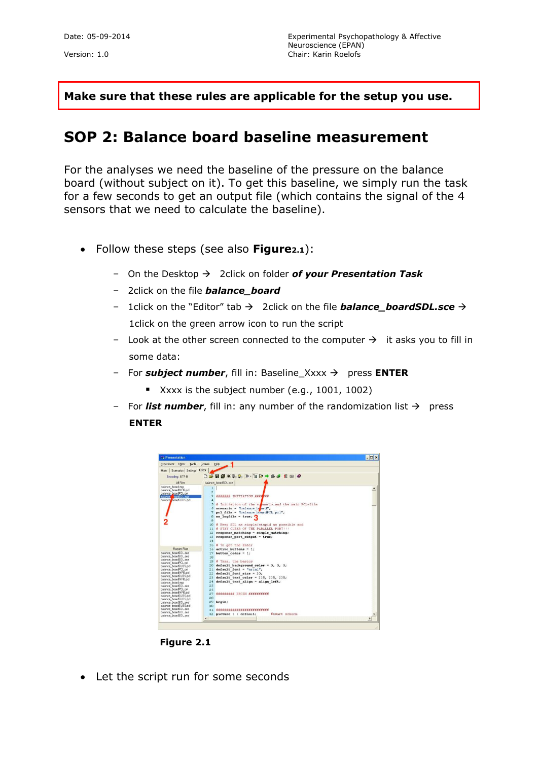**Make sure that these rules are applicable for the setup you use.**

## **SOP 2: Balance board baseline measurement**

For the analyses we need the baseline of the pressure on the balance board (without subject on it). To get this baseline, we simply run the task for a few seconds to get an output file (which contains the signal of the 4 sensors that we need to calculate the baseline).

- Follow these steps (see also **Figure2.1**):
	- $-$  On the Desktop  $\rightarrow$  2click on folder of your Presentation Task
	- 2click on the file *balance\_board*
	- 1click on the "Editor" tab → 2click on the file **balance\_boardSDL.sce** → 1click on the green arrow icon to run the script
	- Look at the other screen connected to the computer  $\rightarrow$  it asks you to fill in some data:
	- For *subject number*, fill in: Baseline\_Xxxx press **ENTER**
		- Xxxx is the subject number (e.g., 1001, 1002)
	- For **list number**, fill in: any number of the randomization list  $\rightarrow$  press **ENTER**



• Let the script run for some seconds